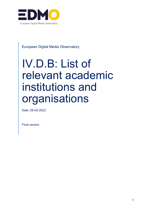

<span id="page-0-0"></span>European Digital Media Observatory

# IV.D.B: List of relevant academic institutions and organisations

Date: 28-02-2022

Final version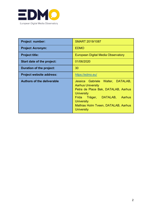

| <b>Project number:</b>            | <b>SMART 2019/1087</b>                                                                                                                                                                                                                         |  |
|-----------------------------------|------------------------------------------------------------------------------------------------------------------------------------------------------------------------------------------------------------------------------------------------|--|
| <b>Project Acronym:</b>           | <b>EDMO</b>                                                                                                                                                                                                                                    |  |
| <b>Project title:</b>             | European Digital Media Observatory                                                                                                                                                                                                             |  |
| Start date of the project:        | 01/06/2020                                                                                                                                                                                                                                     |  |
| Duration of the project:          | 30                                                                                                                                                                                                                                             |  |
| <b>Project website address:</b>   | https://edmo.eu/                                                                                                                                                                                                                               |  |
| <b>Authors of the deliverable</b> | Jessica Gabriele Walter, DATALAB,<br><b>Aarhus University</b><br>Petra de Place Bak, DATALAB, Aarhus<br><b>University</b><br>DATALAB, Aarhus<br>Frida Träger,<br><b>University</b><br>Mathias Holm Tveen, DATALAB, Aarhus<br><b>University</b> |  |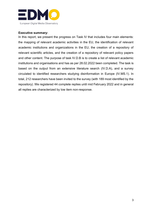

## <span id="page-2-0"></span>**Executive summary:**

In this report, we present the progress on Task IV that includes four main elements: the mapping of relevant academic activities in the EU, the identification of relevant academic institutions and organizations in the EU, the creation of a repository of relevant scientific articles, and the creation of a repository of relevant policy papers and other content. The purpose of task IV.D.B is to create a list of relevant academic institutions and organisations and has as per 28.02.2022 been completed. The task is based on the output from an extensive literature search (IV.D.A), and a survey circulated to identified researchers studying disinformation in Europe (IV.MS.1). In total, 212 researchers have been invited to the survey (with 189 most identified by the repository). We registered 44 complete replies until mid February 2022 and in general all replies are characterized by low item non-response.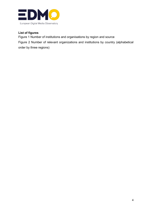

# <span id="page-3-0"></span>**List of figures**

Figure 1 Number of institutions and organisations by region and source

Figure 2 Number of relevant organizations and institutions by country (alphabetical order by three regions)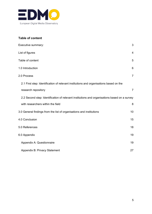

# <span id="page-4-0"></span>**Table of content**

| Executive summary:                                                                           | 3                       |
|----------------------------------------------------------------------------------------------|-------------------------|
| List of figures                                                                              | $\overline{\mathbf{4}}$ |
| Table of content                                                                             | 5                       |
| 1.0 Introduction                                                                             | 6                       |
| 2.0 Process                                                                                  | $\overline{7}$          |
| 2.1 First step: Identification of relevant institutions and organisations based on the       |                         |
| research repository                                                                          | $\overline{7}$          |
| 2.2 Second step: Identification of relevant institutions and organisations based on a survey |                         |
| with researchers within the field                                                            | 8                       |
| 3.0 General findings from the list of organisations and institutions                         | 10                      |
| 4.0 Conclusion                                                                               | 15                      |
| 5.0 References                                                                               | 18                      |
| 6.0 Appendix                                                                                 | 19                      |
| Appendix A: Questionnaire                                                                    | 19                      |
| Appendix B: Privacy Statement                                                                | 27                      |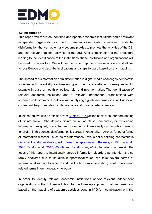

## <span id="page-5-0"></span>**1.0 Introduction**

This report will focus on identified appropriate academic institutions and/or relevant independent organisations in the EU member states related to research on digital disinformation that can potentially become proxies to promote the activities of the DSI and link relevant national activities to the DSI. After a description of the procedure leading to the identification of the institutions, these institutions and organizations will be listed in chapter four. We will use the list to map the organisations and institutions across Europe and describe implications and steps forward based on this mapping.

The spread of disinformation or misinformation in digital media challenges democratic societies with potentially life-threatening and democracy-altering consequences for example in case of health or political dis- and misinformation. The identification of relevant academic institutions and or relevant independent organisations with research units or projects that deal with analysing digital disinformation in an European context will help to establish collaborations and foster academic research.

In this report, we use a definition from [Buning](https://www.zotero.org/google-docs/?PRmg9e) [\(2018\)](https://www.zotero.org/google-docs/?PRmg9e) as the basis for our understanding of disinformation. She defines disinformation as "false, inaccurate, or misleading information designed, presented and promoted to intentionally cause public harm or for profit". In this sense, disinformation is spread intentionally, however, for other forms of information disorder - such as misinformation - this is not a defining characteristic [\(for scientific studies dealing with these concepts see e.g. Kalsnes, 2018; Shu et al.,](https://www.zotero.org/google-docs/?oq7ujc)  [2020; Tandoc et al., 2018; Wardle](https://www.zotero.org/google-docs/?oq7ujc) [and Derakhshan, 2017\).](https://www.zotero.org/google-docs/?oq7ujc) In order to not restrict the focus of this report to intentionally spread information disorders as intention is also rarely analyzed due to its difficult operationalization, we take several forms of information disorder into account and use the terms misinformation, disinformation and related terms interchangeably hereupon.

In order to identify relevant academic institutions and/or relevant independent organisations in the EU, we will describe the two-step approach that we carried out based on the mapping of academic activities done in IV.D.A in combination with the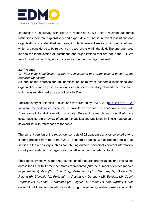

conduction of a survey with relevant researchers. We define relevant academic institutions therefore exploratively and expert driven. That is, relevant institutions and organisations are identified as those, in which relevant research is conducted and which are considered to be relevant by researchers within the field. The approach also lead to the identification of institutions and organizations that are not in the EU. We take this into account by adding information about the region as well.

## <span id="page-6-0"></span>**2.0 Process**

# <span id="page-6-1"></span>*2.1 First step: Identification of relevant institutions and organisations based on the research repository*

As one of the sources for an identification of relevant academic institutions and organizations, we rely on the already established repository of academic research, which was established as a part of task IV.D.A

The repository of Scientific Publications was created by DATALAB [\(see Bak et al. 2021](https://edmo.eu/wp-content/uploads/2021/06/IV.D.A_-Academic-research-on-disinformation-at-scale-in-the-EU_Final.pdf)  [for a full methodological account\)](https://edmo.eu/wp-content/uploads/2021/06/IV.D.A_-Academic-research-on-disinformation-at-scale-in-the-EU_Final.pdf) to provide an overview of academic inquiry into European digital disinformation at scale. Relevant research was identified by a systematic literature review of academic publications published in English based on a keyword list with references to the topic.

The current version of the repository consists of 92 academic articles selected after a filtering process from more than 2,021 academic studies. We extracted details of all studies in the repository such as contributing authors, specifically contact information, country and institution or organisation of affiliation, and academic field.

The repository shows a good representation of research organisations and institutions across the EU with 17 member states represented (NB: the number of entries marked in parenthesis): *Italy (24), Spain (12), Netherlands (11), Germany (9), Greece (5), Poland (5), Slovakia (4), Portugal (4), Austria (3), Denmark (2), Belgium (2), Czech Republic (2), Sweden (2), Romania (2), Bulgaria (1), France (1), and Cyprus (1).* Also outside the EU we see an interest in studying European digital disinformation at scale: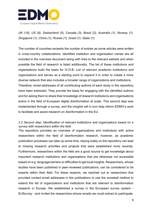

*UK (18), US (8), Switzerland (5), Canada (3), Brazil (2), Australia (1), Norway (1), Singapore (1), China (1), Russia (1), Israel (1), Qatar (1).*

The number of countries exceeds the number of entries as some articles were written in cross-country collaborations. Identified institution and organisation names are all included in the overview document along with links to the relevant website and when possible the field of research is listed additionally. The list of these institutions and organisations build the basis for IV.D.B*: List of relevant academic institutions and organisations* and serves as a starting point to expand it in order to create a more diverse network that also includes a broader range of organizations and institutions. Therefore, email-addresses of all contributing authors of each study in the repository have been extracted. They provide the basis for engaging with the identified authors and for asking them to share their knowledge of research institutions and organisations active in the field of European digital disinformation at scale. This second step was implemented through a survey, and the insights will in turn help inform EDMO's work to facilitate and assist research on disinformation in the EU.

# <span id="page-7-0"></span>*2.2 Second step: Identification of relevant institutions and organisations based on a survey with researchers within the field*

The repository provides an overview of organizations and institutions with active researchers within the field of disinformation research, however, as academic publication processes can take up some time, relying solely on the repository can lead to missing research activities and projects that were established more recently. Furthermore, researchers within the field are a good source to get knowledge about important research institutions and organisations that are otherwise not accessible based on e.g. language barriers or difficulties to get local insights. Researchers, whose studies have been published in peer-reviewed publications, can be considered to be experts within their field. For these reasons, we reached out to researchers that provided contact email addresses in the publications to use the snowball method to extend the list of organizations and institutions that are relevant to disinformation research in Europe. We established a survey in the European survey system - EUSurvey - and invited the researchers whose emails we could extract to participate.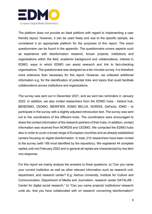

The platform does not provide an ideal platform with regard to implementing a user friendly layout. However, it can be used freely and due to the specific sample, we considered it an appropriate platform for the purposes of this report. The exact questionnaire can be found in the appendix. The questionnaire covers aspects such as experience with disinformation research, known projects, institutions and organisations within the field, academic background and collaborations, interest in EDMO, ways in which EDMO can assist research and link to fact-checking organisations. The questionnaire was designed as a ten minutes survey. It is therefore more extensive than necessary for this report. However, we collected additional information e.g. for the identification of potential links and topics that could facilitate collaborations across institutions and organizations.

The survey was sent out in December 2021, and we sent two reminders in January 2022. In addition, we also invited researchers from the EDMO hubs - Ireland hub, BENEDMO, CEDMO, IBERIFIER, EDMO BELUX, NORDIS, DeFacto, IDMO - to participate in the survey with a slightly adjusted introduction text. The survey was sent out to the coordinators of the different hubs. The coordinators were encouraged to share the contact information of the research partners of their hubs. In addition, contact information was received from NORDIS and CEDMO. We contacted the EDMO hubs also in order to cover a broad range of European countries and as already established centers focusing on digital disinformation. In total, 212 researchers have been invited to the survey (with 189 most identified by the repository). We registered 44 complete replies until mid February 2022 and in general all replies are characterized by low item non-response.

For this report we mainly analyze the answers to three questions: a) "Can you name your current institution as well as other relevant information such as research unit, department, and research center? E.g. Aarhus University, Institute for Culture and Communication, Department of Media and Journalism, research center DATALAB - Center for digital social research." b) "Can you name projects/ institutions/ research units etc. that you have collaborated with on research concerning disinformation?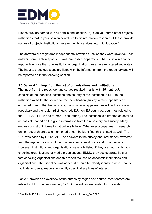

Please provide names with all details and location." c) "Can you name other projects/ institutions that in your opinion contribute to disinformation research? Please provide names of projects, institutions, research units, services, etc. with location."

The answers are registered independently of which question they were given to. Each answer from each respondent was processed separately. That is, if a respondent reported on more than one institution or organization these were registered separately. The input to these questions are listed with the information from the repository and will be reported on in the following section.

## <span id="page-9-0"></span>**3.0 General findings from the list of organisations and institutions**

The input from the repository and survey resulted in a list with 251 entries<sup>1</sup>. It consists of the identified institution, the country of the institution, a URL to the institution website, the source for the identification (survey versus repository or extracted from both), the discipline, the number of appearances within the survey/ repository and the region (distinguished: EU, non-EU countries, countries related to the EU: EAA, EFTA and former EU countries). The institution is extracted as detailed as possible based on the given information from the repository and survey. Many entries consist of information at university level. Whenever a department, research unit or research project is mentioned or can be identified, this is listed as well. The URL was added by DATALAB. The answers to the survey and information extracted from the repository also included non-academic institutions and organisations. However, institutions and organisations were only listed, if they are not mainly factchecking organisations or media organisations. EDMO provides separate lists of fact-checking organisations and this report focuses on academic institutions and organisations. The discipline was added, if it could be clearly identified as a mean to facilitate for users/ readers to identify specific disciplines of interest.

Table 1 provides an overview of the entries by region and source. Most entries are related to EU countries - namely 177. Some entries are related to EU-related

<sup>1</sup> See file IV.D.B List of relevant organisations and institutions\_Feb2022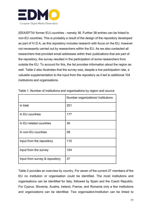

(EEA/EFTA/ former EU) countries - namely 36. Further 38 entries can be linked to non-EU countries. This is probably a result of the design of the repository developed as part of IV.D.A, as this repository includes research with focus on the EU, however not necessarily carried out by researchers within the EU. As we also contacted all researchers that provided email addresses within their publications that are part of the repository, the survey resulted in the participation of some researchers from outside the EU. To account for this, the list provides information about the region as well. Table 2 also illustrates that the survey was, despite a low participation rate, a valuable supplementation to the input from the repository as it led to additional 104 institutions and organisations.

|                                | Number organizations/ institutions |
|--------------------------------|------------------------------------|
| in total                       | 251                                |
| In EU countries                | 177                                |
| In EU related countries        | 36                                 |
| In non-EU countries            | 38                                 |
| Input from the repository      | 110                                |
| Input from the survey          | 104                                |
| Input from survey & repository | 37                                 |

Table 1. Number of institutions and organisations by region and source

Table 2 provides an overview by country. For seven of the current 27 members of the EU no institution or organisation could be identified. The most institutions and organisations can be identified for Italy, followed by Spain and the Czech Republic. For Cyprus, Slovenia, Austria, Ireland, France, and Romania only a few institutions and organizations can be identified. Two organisation/institution can be linked to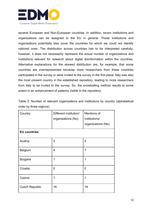

several European and Non-European countries. In addition, seven institutions and organizations can be assigned to the EU in general. These institutions and organisations potentially also cover the countries for which we could not identify national ones. The distribution across countries has to be interpreted carefully, however, it does not necessarily represent the actual number of organizations and institutions relevant for research about digital disinformation within the countries. Alternative explanations for the skewed distribution are, for example, that some countries are overrepresented because more researchers from these countries participated in the survey or were invited to the survey in the first place. Italy was also the most present country in the established repository, leading to more researchers from Italy to be invited to the survey. So, the snowballing method results to some extent in an enhancement of patterns visible in the repository.

| Country               | Different institution/<br>organisations (No) | Mentions of<br>institutions/<br>organizations (No) |
|-----------------------|----------------------------------------------|----------------------------------------------------|
| <b>EU countries</b>   |                                              |                                                    |
| Austria               | $\overline{2}$                               | 5                                                  |
| <b>Belgium</b>        | $\overline{4}$                               | $\overline{7}$                                     |
| <b>Bulgaria</b>       | 1                                            | 1                                                  |
| Croatia               | 0                                            | 0                                                  |
| Cyprus                | 1                                            | 1                                                  |
| <b>Czech Republic</b> | 16                                           | 19                                                 |

Table 2: Number of relevant organizations and institutions by country (alphabetical order by three regions)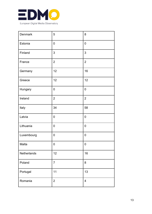

| Denmark     | 5                | 8                         |
|-------------|------------------|---------------------------|
| Estonia     | $\mathbf 0$      | $\pmb{0}$                 |
| Finland     | 3                | $\ensuremath{\mathsf{3}}$ |
| France      | $\overline{2}$   | $\overline{2}$            |
| Germany     | 12               | 16                        |
| Greece      | 12               | 12                        |
| Hungary     | $\mathbf 0$      | $\mathbf 0$               |
| Ireland     | $\overline{2}$   | $\overline{2}$            |
| Italy       | 34               | 58                        |
| Latvia      | $\mathbf 0$      | $\mathbf 0$               |
| Lithuania   | $\mathbf 0$      | $\mathbf 0$               |
| Luxembourg  | $\mathbf 0$      | $\mathbf 0$               |
| Malta       | $\boldsymbol{0}$ | $\boldsymbol{0}$          |
| Netherlands | 12               | 16                        |
| Poland      | $\overline{7}$   | 8                         |
| Portugal    | 11               | 13                        |
| Romania     | $\mathbf{2}$     | $\overline{\mathbf{4}}$   |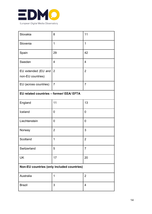

| Slovakia                                   | 8              | 11             |
|--------------------------------------------|----------------|----------------|
| Slovenia                                   | 1              | 1              |
| Spain                                      | 29             | 42             |
| Sweden                                     | $\overline{4}$ | $\overline{4}$ |
| EU extended (EU and                        | $\overline{2}$ | $\overline{2}$ |
| non-EU countries)                          |                |                |
| EU (across countries)                      | $\overline{7}$ | $\overline{7}$ |
| EU related countries - former/ EEA/ EFTA   |                |                |
| England                                    | 11             | 13             |
| Iceland                                    | 0              | 0              |
| Liechtenstein                              | 0              | 0              |
| Norway                                     | $\overline{2}$ | 3              |
| Scotland                                   | 1              | $\overline{2}$ |
| Switzerland                                | 5              | $\overline{7}$ |
| <b>UK</b>                                  | 17             | 20             |
| Non-EU countries (only included countries) |                |                |
| Australia                                  | 1              | $\overline{2}$ |
| <b>Brazil</b>                              | 3              | $\overline{4}$ |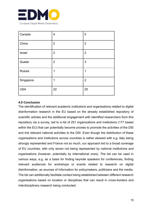

| Canada     | $\overline{\mathbf{4}}$ | 5              |
|------------|-------------------------|----------------|
| China      | $\overline{2}$          | $\overline{2}$ |
| Israel     | $\overline{2}$          | $\overline{2}$ |
| Quatar     | $\overline{2}$          | 3              |
| Russia     | 1                       | 1              |
| Singapore  | 1                       | $\overline{2}$ |
| <b>USA</b> | 22                      | 25             |

## <span id="page-14-0"></span>**4.0 Conclusion**

The identification of relevant academic institutions and organisations related to digital disinformation research in the EU based on the already established repository of scientific articles and the additional engagement with identified researchers from this repository via a survey, led to a list of 251 organizations and institutions (177 based within the EU) that can potentially become proxies to promote the activities of the DSI and link relevant national activities to the DSI. Even though the distribution of these organisations and institutions across countries is rather skewed with e.g. Italy being strongly represented and France not so much, our approach led to a broad coverage of EU countries, with only seven not being represented by national institutions and organisations (however, potentially by international ones). The list can be used in various ways, e.g. as a basis for finding keynote speakers for conferences, finding relevant audiences for workshops or events related to research on digital disinformation, as sources of information for policymakers, politicians and the media. The list can additionally facilitate contact being established between different research organisations based on location or disciplines that can result in cross-borders and interdisciplinary research being conducted.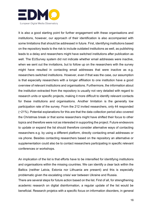

It is also a good starting point for further engagement with these organisations and institutions, however, our approach of their identification is also accompanied with some limitations that should be addressed in future. First, identifying institutions based on the repository leads to the risk to include outdated institutions as well, as publishing leads to a delay and researchers might have switched institutions after publication as well. The EUSurvey system did not indicate whether email addresses were inactive, when we sent out the invitations, but to follow up on the researchers with the survey might have resulted in contacting email addresses that were inactive as e.g. researchers switched institutions. However, even if that was the case, our assumption is that especially researchers with a longer affiliation to one institution have a good overview of relevant institutions and organisations. Furthermore, the information about the institution extracted from the repository is usually not very detailed with regard to research units or specific projects, making it more difficult to identify relevant contacts for these institutions and organisations. Another limitation is the generally low participation rate of the survey. From the 212 invited researchers, only 44 responded (~21%). Potential explanations for this are that the data collection period also covered the Christmas break or that some researchers might have shifted their focus to other topics and therefore were not as interested in supporting the project. Future endeavors to update or expand the list should therefore consider alternative ways of contacting researchers e.g. by using a different platform, directly contacting email addresses or via phone. Besides contacting researchers based on the repository an alternative or supplementation could also be to contact researchers participating in specific relevant conferences or workshops.

An implication of the list is that efforts have to be intensified for identifying institutions and organisations within the missing countries. We can identify a clear lack within the Baltics (neither Latvia, Estonia nor Lithuania are present) and this is especially problematic given the escalating crisis/ war between Ukraine and Russia.

There are several steps for future action based on the list. First of all, for strengthening academic research on digital disinformation, a regular update of the list would be beneficial. Research projetcs with a specific focus on information disorders, in general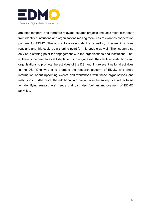

are often temporal and therefore relevant research projects and units might disappear from identified instutions and organisations making them less relevant as cooperation partners for EDMO. The aim is to also update the repository of scientific articles regularly and this could be a starting point for this update as well. The list can also only be a starting point for engagement with the organisations and institutions. That is, there is the need to establish platforms to engage with the identified institutions and organisations to promote the activities of the DSI and link relevant national activities to the DSI. One way is to promote the research platform of EDMO and share information about upcoming events and workshops with these organisations and institutions. Furthermore, the additional information from the survey is a further basis for identifying researchers' needs that can also fuel an improvement of EDMO activities.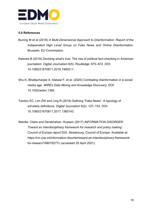

# <span id="page-17-0"></span>**5.0 References**

- [Buning M et al \(2018\)](https://www.zotero.org/google-docs/?YS9w9v) *[A Multi-Dimensional Approach to Disinformation: Report of the](https://www.zotero.org/google-docs/?YS9w9v)  [Independent High Level Group on Fake News and Online Disinformation](https://www.zotero.org/google-docs/?YS9w9v)*[.](https://www.zotero.org/google-docs/?YS9w9v)  [Brussels: EU Commission.](https://www.zotero.org/google-docs/?YS9w9v)
- [Kalsnes B \(2018\) Deciding what's true: The rise of political fact](https://www.zotero.org/google-docs/?YS9w9v)-checking in American [journalism.](https://www.zotero.org/google-docs/?YS9w9v) *[Digital Journalism](https://www.zotero.org/google-docs/?YS9w9v)* [6\(5\). Routledge: 670](https://www.zotero.org/google-docs/?YS9w9v)–672. DOI: [10.1080/21670811.2018.1460211.](https://www.zotero.org/google-docs/?YS9w9v)
- [Shu K, Bhattacharjee A, Alatawi F, et al. \(2020\) Combating disinformation in a social](https://www.zotero.org/google-docs/?YS9w9v)  [media age.](https://www.zotero.org/google-docs/?YS9w9v) *[WIREs Data Mining and Knowledge Discovery](https://www.zotero.org/google-docs/?YS9w9v)*[. DOI:](https://www.zotero.org/google-docs/?YS9w9v)  [10.1002/widm.1385.](https://www.zotero.org/google-docs/?YS9w9v)
- [Tandoc EC, Lim ZW and Ling R \(2018\) Defining "Fake News": A typology of](https://www.zotero.org/google-docs/?YS9w9v)  [scholarly definitions.](https://www.zotero.org/google-docs/?YS9w9v) *[Digital Journalism](https://www.zotero.org/google-docs/?YS9w9v)* 6(2): 137–[153. DOI:](https://www.zotero.org/google-docs/?YS9w9v)  [10.1080/21670811.2017.1360143.](https://www.zotero.org/google-docs/?YS9w9v)
- [Wardle, Claire and Derakhshan, Hossein \(2017\)](https://www.zotero.org/google-docs/?YS9w9v) *[INFORMATION DISORDER:](https://www.zotero.org/google-docs/?YS9w9v)  [Toward an interdisciplinary framework for research and policy making](https://www.zotero.org/google-docs/?YS9w9v)*[.](https://www.zotero.org/google-docs/?YS9w9v) [Council of Europe report DGI. Strasbourg: Council of Europe. Available at:](https://www.zotero.org/google-docs/?YS9w9v)  [https://rm.coe.int/information-disordertoward-an-interdisciplinary-framework](https://www.zotero.org/google-docs/?YS9w9v)[for-researc/168076277c \(accessed 25 April 2021\).](https://www.zotero.org/google-docs/?YS9w9v)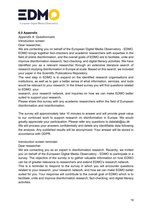

## <span id="page-18-0"></span>**6.0 Appendix**

<span id="page-18-1"></span>*Appendix A: Questionnaire*

Introduction screen:

Dear researcher,

We are contacting you on behalf of the European Digital Media Observatory - EDMO. EDMO brings together fact-checkers and academic researchers with expertise in the field of online disinformation, and the overall goals of EDMO are to facilitate, unite and improve disinformation research, fact-checking, and digital literacy activities. We have identified you as a relevant researcher through an extensive literature search of research studying disinformation in Europe at scale. Based on this search, we included your paper in the Scientific Publications Repository.

The next step in EDMO is to expand on the identified research organisations and institutions, as well as to gain a better sense of what information, services, and tools would be relevant to your research. In the linked survey you will find questions related to EDMO, your

research, your research network, and inquiries on how we can make EDMO better suited to support your research.

Please share this survey with any academic researchers within the field of European disinformation and misinformation.

The survey will approximately take 10 minutes to answer and will provide great value to our continued work to support research on disinformation in Europe. We would greatly appreciate your participation. Please refer any questions to datalab@au.dk We will process your answers confidentially and delete any identifiable data following the analysis. Any published results will be anonymized. Your answer will be stored in accordance with GDPR.

Introduction screen reminder:

Dear researcher

We are contacting you as an expert in disinformation research. Recently, we invited you on behalf of the European Digital Media Observatory - EDMO to participate in a survey. The objective of the survey is to gather valuable information on how EDMO can be of greater relevance to researchers and extend EDMO's research network. This is a reminder to respond to the survey in which you will encounter questions related to your research, your research network, and how we can make EDMO better suited for you. Your response will contribute to the overall goal of EDMO which is to facilitate, unite and improve disinformation research, fact-checking, and digital literacy

activities.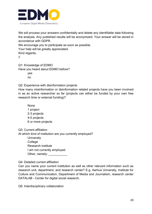

We will process your answers confidentially and delete any identifiable data following the analysis. Any published results will be anonymized. Your answer will be stored in accordance with GDPR.

We encourage you to participate as soon as possible.

Your help will be greatly appreciated.

Kind regards,

//

Q1: Knowledge of EDMO Have you heard about EDMO before? yes no

Q2: Experience with disinformation projects

How many misinformation or disinformation related projects have you been involved in as an active researcher so far (projects can either be funded by your own free research time or external funding)?

None 1 project 2-3 projects 4-5 projects 6 or more projects

Q3: Current affiliation

At which kind of institution are you currently employed?

**University** College Research institute I am not currently employed Other, namely: **We are all that** 

Q4: Detailed current affiliation

Can you name your current institution as well as other relevant information such as research unit, department, and research center? E.g. Aarhus University, Institute for Culture and Communication, Department of Media and Journalism, research center DATALAB - Center for digital social research.

Q5: Interdisciplinary collaboration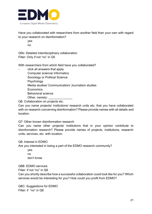

Have you collaborated with researchers from another field than your own with regard to your research on disinformation?

yes no

Q5b: Detailed interdisciplinary collaboration Filter: Only if not "no" in Q5

With researchers from which field have you collaborated?

click all answers that apply Computer science/ Informatics Sociology or Political Science Psychology Media studies/ Communication/ Journalism studies **Economics** Behavioral science Other, namely:

Q6: Collaboration on projects etc.

Can you name projects/ institutions/ research units etc. that you have collaborated with on research concerning disinformation? Please provide names with all details and location.

Q7: Other known disinformation research

Can you name other projects/ institutions that in your opinion contribute to disinformation research? Please provide names of projects, institutions, research units, services, etc. with location.

Q8: Interest in EDMO

Are you interested in being a part of the EDMO research community?

yes no don't know

Q8B: EDMO services

Filter: if not "no" in Q8

Can you shortly describe how a successful collaboration could look like for you? Which services would be interesting for you? How could you profit from EDMO?

Q8C: Suggestions for EDMO Filter: if "no" in Q8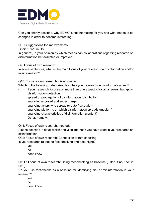

Can you shortly describe, why EDMO is not interesting for you and what needs to be changed in order to become interesting?

Q8D: Suggestions for improvements

Filter: if "no" in Q8

In general, in your opinion by which means can collaborations regarding research on disinformation be facilitated or improved?

Q9: Focus of own research

In some sentences, what is the main focus of your research on disinformation and/or misinformation?

Q10: Focus of own research: disinformation

Which of the following categories describes your research on disinformation best?

- if your research focuses on more than one aspect, click all answers that apply disinformation detection spread or propagation of disinformation (distribution) analyzing exposed audiences (target) analyzing actors who spread (creator/ spreader) analyzing platforms on which disinformation spreads (medium) analyzing characteristics of disinformation (content) Other, namely:

Q11: Focus of own research: methods

Please describe in detail which analytical methods you have used in your research on disinformation

Q12: Focus of own research: Connection to fact-checking

Is your research related to fact-checking and debunking?

yes no don't know

Q12B: Focus of own research: Using fact-checking as baseline (Filter: if not "no" in Q12)

Do you use fact-checks as a baseline for identifying dis- or misinformation in your research?

yes no don't know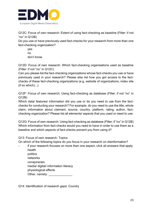

Q12C: Focus of own research: Extent of using fact-checking as baseline (Filter: if not "no" in Q12B)

Do you use or have previously used fact-checks for your research from more than one fact-checking organization?

yes no don't know

Q12D: Focus of own research: Which fact-checking organisations used as baseline (Filter: if not "no" in Q12C)

Can you please list the fact-checking organizations whose fact-checks you use or have previously used in your research? Please also list how you got access to the factchecks of these fact-checking organizations (e.g. website of organizations, index site (if so which)...).

Q12F: Focus of own research: Using fact-checking as database (Filter: if not "no" in Q12B)

Which data/ features/ information did you use or do you need to use from the factchecks for conducting your research? For example, do you need to use the title, whole claim, information about claimant, source, country, platform, rating, author, factchecking organization? Please list all elements/ aspects that you used or need to use.

Q12G: Focus of own research: Using fact-checking as database (Filter: if "no" in Q12B) Which information from fact-checks would you need to have in order to use them as a baseline and which aspects of fact-checks prevent you from using it?

Q13: Focus of own research: Topics

On which of the following topics do you focus in your research on disinformation?

if your research focuses on more than one aspect, click all answers that apply health politics

networks conspiracies media/ digital/ information literacy physiological effects

Other, namely:

Q14: Identification of research gaps: Country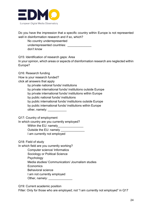

Do you have the impression that a specific country within Europe is not represented well in disinformation research and if so, which?

No country underrepresented underrepresented countries: don't know

Q15: Identification of research gaps: Area

In your opinion, which areas or aspects of disinformation research are neglected within Europe?

Q16: Research funding How is your research funded? click all answers that apply by private national funds/ institutions by private international funds/ institutions outside Europe by private international funds/ institutions within Europe by public national funds/ institutions by public international funds/ institutions outside Europe by public international funds/ institutions within Europe other, namely: **with the state of the state of the state of the state of the state of the state of the state of the state of the state of the state of the state of the state of the state of the state of the state of the st** 

Q17: Country of employment

In which country are you currently employed?

Within the EU: namely\_\_\_\_\_\_\_\_\_\_\_\_\_\_\_

Outside the EU: namely \_\_\_\_\_\_\_\_\_\_\_\_\_\_

I am currently not employed

Q18: Field of study

In which field are you currently working?

Computer science/ Informatics

Sociology or Political Science

Psychology

Media studies/ Communication/ Journalism studies

**Economics** 

Behavioral science

I am not currently employed

Other, namely: \_\_\_\_\_\_\_\_\_\_\_\_\_\_

Q19: Current academic position

Filter: Only for those who are employed; not "I am currently not employed" in Q17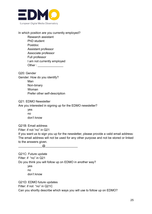

## In which position are you currently employed?

Research assistant PhD student Postdoc Assistant professor Associate professor Full professor I am not currently employed Other :  $\blacksquare$ 

Q20: Gender Gender: How do you identify? Man Non-binary Woman Prefer other self-description

## Q21: EDMO Newsletter

Are you interested in signing up for the EDMO newsletter?

yes no don't know

Q21B: Email address

Filter: if not "no" in Q21

If you want us to sign you up for the newsletter, please provide a valid email address: The email address will not be used for any other purpose and not be stored or linked to the answers given.

 $\omega$ 

Q21C: Future update Filter: if "no" in Q21 Do you think you will follow up on EDMO in another way? yes no don't know

Q21D: EDMO future updates

Filter: if not "no" in Q21C

Can you shortly describe which ways you will use to follow up on EDMO?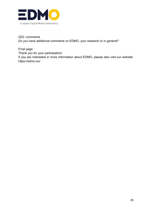

Q22: comments Do you have additional comments on EDMO, your research or in general?

Final page Thank you for your participation!

If you are interested in more information about EDMO, please also visit our website: https://edmo.eu/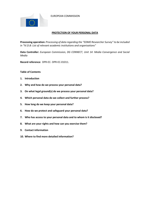EUROPEAN COMMISSION



#### **PROTECTION OF YOUR PERSONAL DATA**

**Processing operation:** *Processing of data regarding the "EDMO Researcher Survey" to be included in "IV.D.B: List of relevant academic institutions and organisations"*

**Data Controller:** *European Commission, DG CONNECT, Unit 14: Media Convergence and Social Media*

**Record reference:** DPR-EC- DPR-EC-01011.

**Table of Contents**

- **1. Introduction**
- **2. Why and how do we process your personal data?**
- **3. On what legal ground(s) do we process your personal data?**
- **4. Which personal data do we collect and further process?**
- **5. How long do we keep your personal data?**
- **6. How do we protect and safeguard your personal data?**
- **7. Who has access to your personal data and to whom is it disclosed?**
- **8. What are your rights and how can you exercise them?**
- **9. Contact information**
- **10. Where to find more detailed information?**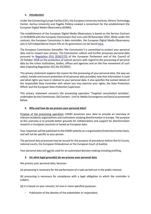## **1. Introduction**

Under the Connecting Europe Facility (CEF), the European University Institute, Athens Technology Center, Aarhus University and Pagella Politica created a consortium for the establishment the European Digital Media Observatory (EDMO).

The establishment of the European Digital Media Observatory is based on the Service Contract LC-01464044 with the European Commission that runs until 30 November 2022. While under this contract, the European Commission is data controller, the European Digital Media Observatory acts in full independence (more info on its governance can be found here.

The European Commission (hereafter 'the Commission') is committed to protect your personal data and to respect your privacy. The Commission collects and further processes personal data pursuant to Regulation (EU) 2018/1725 of the European Parliament and of the Council of 23 October 2018 on the protection of natural persons with regard to the processing of personal data by the Union institutions, bodies, offices and agencies and on the free movement of such data (repealing Regulation (EC) No 45/2001).

This privacy statement explains the reason for the processing of your personal data, the way we collect, handle and ensure protection of all personal data provided, how that information is used and what rights you have in relation to your personal data. It also specifies the contact details of the responsible Data Controller with whom you may exercise your rights, the Data Protection Officer and the European Data Protection Supervisor.

This privacy statement concerns the processing operation 'Targeted consultation activities', undertaken by the Commission. DG Connect - Unit I4: Media Convergence and Social as presented below.

## **2. Why and how do we process your personal data?**

Purpose of the processing operation: EDMO processes your data to provide an overview of relevant academic organisations and institutions studying disinformation in Europe. The purpose of this overview is to provide better grounds for collaborations and support for disinformation research in European countries or based on European data.

Your responses will be published on the EDMO website on a organisation/institution/center basis, and will not be specific to your person.

The personal data processed may be reused for the purpose of procedures before the EU Courts, national courts, the European Ombudsman or the European Court of Auditor.

Your personal data will *not* be used for an automated decision-making including profiling.

## **3. On what legal ground(s) do we process your personal data**

We process your personal data, because:

(a) processing is necessary for the performance of a task carried out in the public interest;

(b) processing is necessary for compliance with a legal obligation to which the controller is subject;

(d) it is based on your consent, for one or more specified purposes:

- Publication of the identity of the stakeholder or respondent;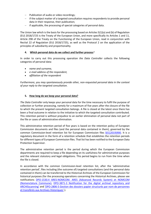- Publication of audio or video recordings;
- If the subject matter of a targeted consultation requires respondents to provide personal data in their response, their publication;
- if applicable, the processing of special categories of personal data.

The Union law which is the basis for the processing based on Articles 5(1)(a) and (b) of Regulation (EU) 2018/1725 is the Treaty of the European Union, and more specifically its Articles 1 and 11, Article 298 of the Treaty on the Functioning of the European Union, read in conjunction with Recital 22 of Regulation (EU) 2018/1725), as well as the Protocol 2 on the application of the principles of subsidiarity and proportionality.

#### **4. Which personal data do we collect and further process***?*

In order to carry out this processing operation *the Data Controller* collects the following categories of personal data:

- *name and surname,*
- *e-mail address of the respondent,*
- *affiliation of the respondent*

*Furthermore, you may spontaneously provide other, non-requested personal data in the context of your reply to the targeted consultation.*

#### **5. How long do we keep your personal data?**

*The Data Controller* only keeps your personal data for the time necessary to fulfil the purpose of collection or further processing, namely for a maximum of five years after the closure of the file to which the present targeted consultation belongs. A file is closed at the latest once there has been a final outcome in relation to the initiative to which the targeted consultation contributed. This retention period is without prejudice to an earlier elimination of personal data not part of the file or cases of administrative elimination.

This administrative retention period of five years is based on the retention policy of European Commission documents and files (and the personal data contained in them), governed by the common Commission-level retention list for European Commission files SEC(2019)900. It is a regulatory document in the form of a retention schedule that establishes the retention periods for different types of European Commission files. That list has been notified to the European Data Protection Supervisor.

The administrative retention period is the period during which the European Commission departments are required to keep a file depending on its usefulness for administrative purposes and the relevant statutory and legal obligations. This period begins to run from the time when the file is closed.

In accordance with the common Commission-level retention list, after the 'administrative retention period', files including (the outcome of) targeted consultations (and the personal data contained in them) can be transferred to the Historical Archives of the European Commission for historical purposes (for the processing operations concerning the Historical Archives, please see notifications DPO-1530.4 ARES-NOMCOM. ARES (Advanced Records System) et NOMCOM (Nomenclature Commune), DPO-3871-3 Notification for the digital archival repository and ARCHISscanning' and 'DPO-2806-5 Gestion des dossiers papier structurés par nom de personnes et transférés aux Archives Historiques'.).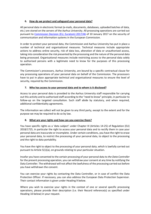## **6. How do we protect and safeguard your personal data?**

All personal data in electronic format (e-mails, documents, databases, uploaded batches of data, etc.) are stored on the servers of the Aarhus University. All processing operations are carried out pursuant to Commission Decision (EU, Euratom) 2017/46 of 10 January 2017 on the security of communication and information systems in the European Commission.

In order to protect your personal data, the Commission and Aarhus University has put in place a number of technical and organisational measures. Technical measures include appropriate actions to address online security, risk of data loss, alteration of data or unauthorised access, taking into consideration the risk presented by the processing and the nature of the personal data being processed. Organisational measures include restricting access to the personal data solely to authorised persons with a legitimate need to know for the purposes of this processing operation.

The Commission's processors, Aarhus University, are bound by a specific contractual clause for any processing operations of your personal data on behalf of the Commission. The processors have to put in place appropriate technical and organisational measures to ensure the level of security, required by the Commission.

## **7. Who has access to your personal data and to whom is it disclosed?**

Access to your personal data is provided to the Aarhus University staff responsible for carrying out this activity and to authorised staff according to the "need to know" principle, in particular to follow-up on the targeted consultation. Such staff abide by statutory, and when required, additional confidentiality agreements.

The information we collect will not be given to any third party, except to the extent and for the purpose we may be required to do so by law.

## **8. What are your rights and how can you exercise them?**

You have specific rights as a 'data subject' under Chapter III (Articles 14-25) of Regulation (EU) 2018/1725, in particular the right to access your personal data and to rectify them in case your personal data are inaccurate or incomplete. Under certain conditions, you have the right to erase your personal data, to restrict the processing of your personal data, to object to the processing and the right to data portability.

You have the right to object to the processing of your personal data, which is lawfully carried out pursuant to Article 5(1)(a), on grounds relating to your particular situation.

Insofar you have consented to the certain processing of your personal data to *the Data Controller* for the present processing operation, you can withdraw your consent at any time by notifying the Data Controller. The withdrawal will not affect the lawfulness of the processing carried out before you have withdrawn the consent.

You can exercise your rights by contacting the Data Controller, or in case of conflict the Data Protection Officer. If necessary, you can also address the European Data Protection Supervisor. Their contact information is given under Heading 9 below.

Where you wish to exercise your rights in the context of one or several specific processing operations, please provide their description (i.e. their Record reference(s) as specified under Heading 10 below) in your request.